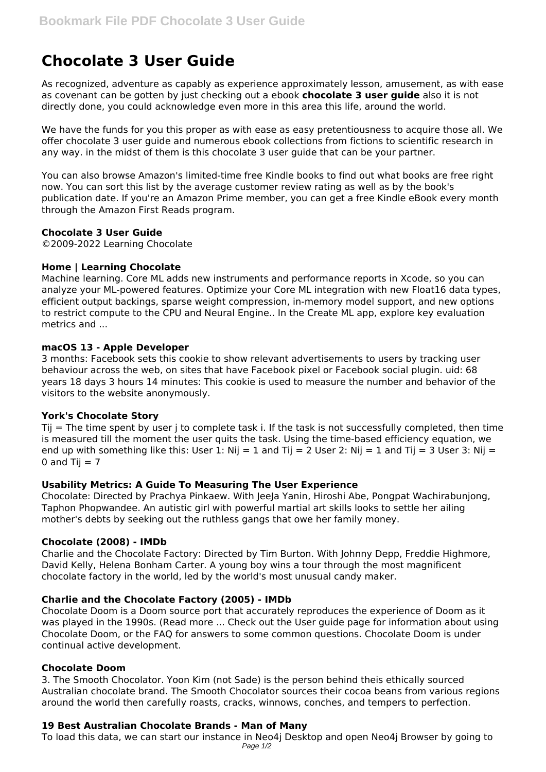# **Chocolate 3 User Guide**

As recognized, adventure as capably as experience approximately lesson, amusement, as with ease as covenant can be gotten by just checking out a ebook **chocolate 3 user guide** also it is not directly done, you could acknowledge even more in this area this life, around the world.

We have the funds for you this proper as with ease as easy pretentiousness to acquire those all. We offer chocolate 3 user guide and numerous ebook collections from fictions to scientific research in any way. in the midst of them is this chocolate 3 user guide that can be your partner.

You can also browse Amazon's limited-time free Kindle books to find out what books are free right now. You can sort this list by the average customer review rating as well as by the book's publication date. If you're an Amazon Prime member, you can get a free Kindle eBook every month through the Amazon First Reads program.

# **Chocolate 3 User Guide**

©2009-2022 Learning Chocolate

## **Home | Learning Chocolate**

Machine learning. Core ML adds new instruments and performance reports in Xcode, so you can analyze your ML-powered features. Optimize your Core ML integration with new Float16 data types, efficient output backings, sparse weight compression, in-memory model support, and new options to restrict compute to the CPU and Neural Engine.. In the Create ML app, explore key evaluation metrics and ...

## **macOS 13 - Apple Developer**

3 months: Facebook sets this cookie to show relevant advertisements to users by tracking user behaviour across the web, on sites that have Facebook pixel or Facebook social plugin. uid: 68 years 18 days 3 hours 14 minutes: This cookie is used to measure the number and behavior of the visitors to the website anonymously.

# **York's Chocolate Story**

Tij = The time spent by user j to complete task i. If the task is not successfully completed, then time is measured till the moment the user quits the task. Using the time-based efficiency equation, we end up with something like this: User 1: Nij = 1 and Tij = 2 User 2: Nij = 1 and Tij = 3 User 3: Nij = 0 and Tij  $= 7$ 

#### **Usability Metrics: A Guide To Measuring The User Experience**

Chocolate: Directed by Prachya Pinkaew. With JeeJa Yanin, Hiroshi Abe, Pongpat Wachirabunjong, Taphon Phopwandee. An autistic girl with powerful martial art skills looks to settle her ailing mother's debts by seeking out the ruthless gangs that owe her family money.

#### **Chocolate (2008) - IMDb**

Charlie and the Chocolate Factory: Directed by Tim Burton. With Johnny Depp, Freddie Highmore, David Kelly, Helena Bonham Carter. A young boy wins a tour through the most magnificent chocolate factory in the world, led by the world's most unusual candy maker.

# **Charlie and the Chocolate Factory (2005) - IMDb**

Chocolate Doom is a Doom source port that accurately reproduces the experience of Doom as it was played in the 1990s. (Read more ... Check out the User guide page for information about using Chocolate Doom, or the FAQ for answers to some common questions. Chocolate Doom is under continual active development.

#### **Chocolate Doom**

3. The Smooth Chocolator. Yoon Kim (not Sade) is the person behind theis ethically sourced Australian chocolate brand. The Smooth Chocolator sources their cocoa beans from various regions around the world then carefully roasts, cracks, winnows, conches, and tempers to perfection.

# **19 Best Australian Chocolate Brands - Man of Many**

To load this data, we can start our instance in Neo4j Desktop and open Neo4j Browser by going to Page 1/2